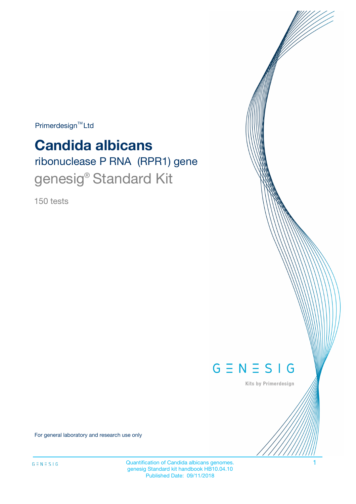$Primerdesign^{TM}$ Ltd

# **Candida albicans**

# ribonuclease P RNA (RPR1) gene genesig<sup>®</sup> Standard Kit

150 tests



Kits by Primerdesign

For general laboratory and research use only

Quantification of Candida albicans genomes. 1 genesig Standard kit handbook HB10.04.10 Published Date: 09/11/2018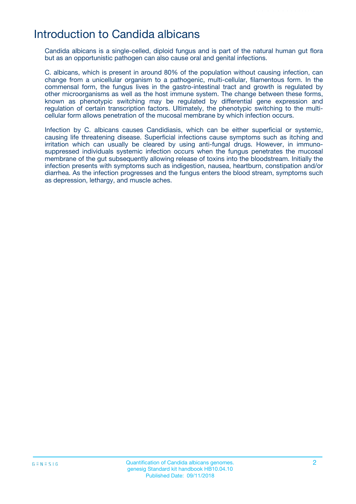# Introduction to Candida albicans

Candida albicans is a single-celled, diploid fungus and is part of the natural human gut flora but as an opportunistic pathogen can also cause oral and genital infections.

C. albicans, which is present in around 80% of the population without causing infection, can change from a unicellular organism to a pathogenic, multi-cellular, filamentous form. In the commensal form, the fungus lives in the gastro-intestinal tract and growth is regulated by other microorganisms as well as the host immune system. The change between these forms, known as phenotypic switching may be regulated by differential gene expression and regulation of certain transcription factors. Ultimately, the phenotypic switching to the multicellular form allows penetration of the mucosal membrane by which infection occurs.

Infection by C. albicans causes Candidiasis, which can be either superficial or systemic, causing life threatening disease. Superficial infections cause symptoms such as itching and irritation which can usually be cleared by using anti-fungal drugs. However, in immunosuppressed individuals systemic infection occurs when the fungus penetrates the mucosal membrane of the gut subsequently allowing release of toxins into the bloodstream. Initially the infection presents with symptoms such as indigestion, nausea, heartburn, constipation and/or diarrhea. As the infection progresses and the fungus enters the blood stream, symptoms such as depression, lethargy, and muscle aches.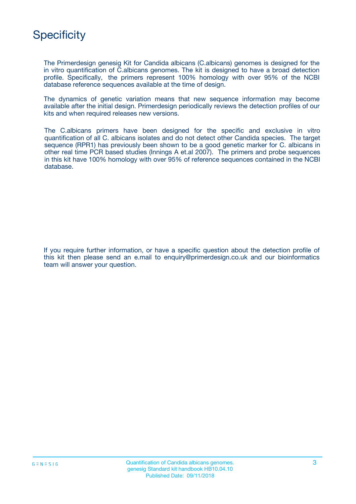# **Specificity**

The Primerdesign genesig Kit for Candida albicans (C.albicans) genomes is designed for the in vitro quantification of C.albicans genomes. The kit is designed to have a broad detection profile. Specifically, the primers represent 100% homology with over 95% of the NCBI database reference sequences available at the time of design.

The dynamics of genetic variation means that new sequence information may become available after the initial design. Primerdesign periodically reviews the detection profiles of our kits and when required releases new versions.

The C.albicans primers have been designed for the specific and exclusive in vitro quantification of all C. albicans isolates and do not detect other Candida species. The target sequence (RPR1) has previously been shown to be a good genetic marker for C. albicans in other real time PCR based studies (Innings A et.al 2007). The primers and probe sequences in this kit have 100% homology with over 95% of reference sequences contained in the NCBI database.

If you require further information, or have a specific question about the detection profile of this kit then please send an e.mail to enquiry@primerdesign.co.uk and our bioinformatics team will answer your question.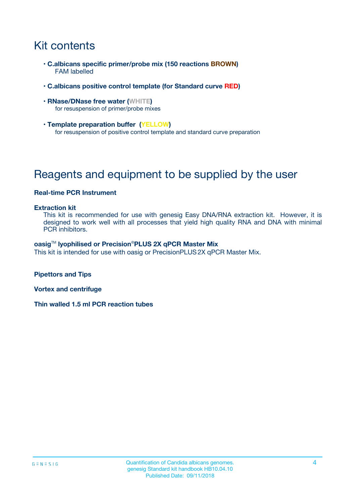# Kit contents

- **C.albicans specific primer/probe mix (150 reactions BROWN)** FAM labelled
- **C.albicans positive control template (for Standard curve RED)**
- **RNase/DNase free water (WHITE)** for resuspension of primer/probe mixes
- **Template preparation buffer (YELLOW)** for resuspension of positive control template and standard curve preparation

# Reagents and equipment to be supplied by the user

### **Real-time PCR Instrument**

#### **Extraction kit**

This kit is recommended for use with genesig Easy DNA/RNA extraction kit. However, it is designed to work well with all processes that yield high quality RNA and DNA with minimal PCR inhibitors.

#### **oasig**TM **lyophilised or Precision**®**PLUS 2X qPCR Master Mix**

This kit is intended for use with oasig or PrecisionPLUS2X qPCR Master Mix.

**Pipettors and Tips**

**Vortex and centrifuge**

**Thin walled 1.5 ml PCR reaction tubes**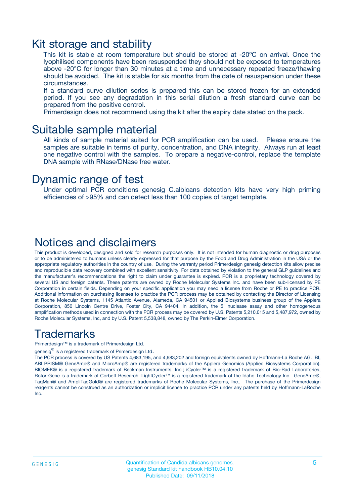### Kit storage and stability

This kit is stable at room temperature but should be stored at -20ºC on arrival. Once the lyophilised components have been resuspended they should not be exposed to temperatures above -20°C for longer than 30 minutes at a time and unnecessary repeated freeze/thawing should be avoided. The kit is stable for six months from the date of resuspension under these circumstances.

If a standard curve dilution series is prepared this can be stored frozen for an extended period. If you see any degradation in this serial dilution a fresh standard curve can be prepared from the positive control.

Primerdesign does not recommend using the kit after the expiry date stated on the pack.

### Suitable sample material

All kinds of sample material suited for PCR amplification can be used. Please ensure the samples are suitable in terms of purity, concentration, and DNA integrity. Always run at least one negative control with the samples. To prepare a negative-control, replace the template DNA sample with RNase/DNase free water.

### Dynamic range of test

Under optimal PCR conditions genesig C.albicans detection kits have very high priming efficiencies of >95% and can detect less than 100 copies of target template.

### Notices and disclaimers

This product is developed, designed and sold for research purposes only. It is not intended for human diagnostic or drug purposes or to be administered to humans unless clearly expressed for that purpose by the Food and Drug Administration in the USA or the appropriate regulatory authorities in the country of use. During the warranty period Primerdesign genesig detection kits allow precise and reproducible data recovery combined with excellent sensitivity. For data obtained by violation to the general GLP guidelines and the manufacturer's recommendations the right to claim under guarantee is expired. PCR is a proprietary technology covered by several US and foreign patents. These patents are owned by Roche Molecular Systems Inc. and have been sub-licensed by PE Corporation in certain fields. Depending on your specific application you may need a license from Roche or PE to practice PCR. Additional information on purchasing licenses to practice the PCR process may be obtained by contacting the Director of Licensing at Roche Molecular Systems, 1145 Atlantic Avenue, Alameda, CA 94501 or Applied Biosystems business group of the Applera Corporation, 850 Lincoln Centre Drive, Foster City, CA 94404. In addition, the 5' nuclease assay and other homogeneous amplification methods used in connection with the PCR process may be covered by U.S. Patents 5,210,015 and 5,487,972, owned by Roche Molecular Systems, Inc, and by U.S. Patent 5,538,848, owned by The Perkin-Elmer Corporation.

### Trademarks

Primerdesign™ is a trademark of Primerdesign Ltd.

genesig $^\circledR$  is a registered trademark of Primerdesign Ltd.

The PCR process is covered by US Patents 4,683,195, and 4,683,202 and foreign equivalents owned by Hoffmann-La Roche AG. BI, ABI PRISM® GeneAmp® and MicroAmp® are registered trademarks of the Applera Genomics (Applied Biosystems Corporation). BIOMEK® is a registered trademark of Beckman Instruments, Inc.; iCycler™ is a registered trademark of Bio-Rad Laboratories, Rotor-Gene is a trademark of Corbett Research. LightCycler™ is a registered trademark of the Idaho Technology Inc. GeneAmp®, TaqMan® and AmpliTaqGold® are registered trademarks of Roche Molecular Systems, Inc., The purchase of the Primerdesign reagents cannot be construed as an authorization or implicit license to practice PCR under any patents held by Hoffmann-LaRoche Inc.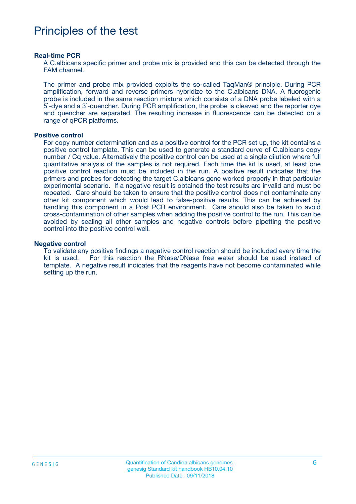# Principles of the test

#### **Real-time PCR**

A C.albicans specific primer and probe mix is provided and this can be detected through the FAM channel.

The primer and probe mix provided exploits the so-called TaqMan® principle. During PCR amplification, forward and reverse primers hybridize to the C.albicans DNA. A fluorogenic probe is included in the same reaction mixture which consists of a DNA probe labeled with a 5`-dye and a 3`-quencher. During PCR amplification, the probe is cleaved and the reporter dye and quencher are separated. The resulting increase in fluorescence can be detected on a range of qPCR platforms.

#### **Positive control**

For copy number determination and as a positive control for the PCR set up, the kit contains a positive control template. This can be used to generate a standard curve of C.albicans copy number / Cq value. Alternatively the positive control can be used at a single dilution where full quantitative analysis of the samples is not required. Each time the kit is used, at least one positive control reaction must be included in the run. A positive result indicates that the primers and probes for detecting the target C.albicans gene worked properly in that particular experimental scenario. If a negative result is obtained the test results are invalid and must be repeated. Care should be taken to ensure that the positive control does not contaminate any other kit component which would lead to false-positive results. This can be achieved by handling this component in a Post PCR environment. Care should also be taken to avoid cross-contamination of other samples when adding the positive control to the run. This can be avoided by sealing all other samples and negative controls before pipetting the positive control into the positive control well.

#### **Negative control**

To validate any positive findings a negative control reaction should be included every time the kit is used. For this reaction the RNase/DNase free water should be used instead of template. A negative result indicates that the reagents have not become contaminated while setting up the run.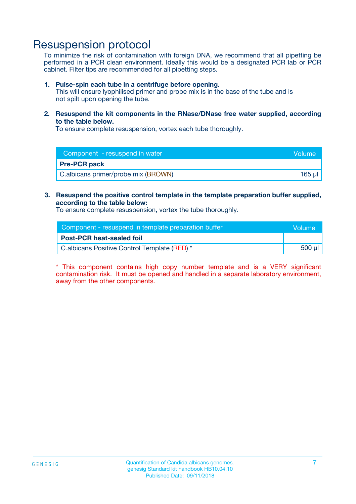## Resuspension protocol

To minimize the risk of contamination with foreign DNA, we recommend that all pipetting be performed in a PCR clean environment. Ideally this would be a designated PCR lab or PCR cabinet. Filter tips are recommended for all pipetting steps.

#### **1. Pulse-spin each tube in a centrifuge before opening.**

This will ensure lyophilised primer and probe mix is in the base of the tube and is not spilt upon opening the tube.

**2. Resuspend the kit components in the RNase/DNase free water supplied, according to the table below.**

To ensure complete resuspension, vortex each tube thoroughly.

| Component - resuspend in water      | Volume |
|-------------------------------------|--------|
| <b>Pre-PCR pack</b>                 |        |
| C.albicans primer/probe mix (BROWN) | 165 ul |

### **3. Resuspend the positive control template in the template preparation buffer supplied, according to the table below:**

To ensure complete resuspension, vortex the tube thoroughly.

| Component - resuspend in template preparation buffer |         |  |
|------------------------------------------------------|---------|--|
| <b>Post-PCR heat-sealed foil</b>                     |         |  |
| C.albicans Positive Control Template (RED) *         | $500$ µ |  |

\* This component contains high copy number template and is a VERY significant contamination risk. It must be opened and handled in a separate laboratory environment, away from the other components.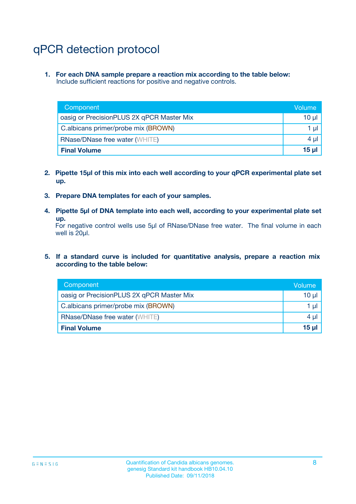# qPCR detection protocol

**1. For each DNA sample prepare a reaction mix according to the table below:** Include sufficient reactions for positive and negative controls.

| Component                                 | Volume           |
|-------------------------------------------|------------------|
| oasig or PrecisionPLUS 2X qPCR Master Mix | 10 $\mu$         |
| C.albicans primer/probe mix (BROWN)       | 1 $\mu$          |
| <b>RNase/DNase free water (WHITE)</b>     | $4 \mu$          |
| <b>Final Volume</b>                       | 15 <sub>ul</sub> |

- **2. Pipette 15µl of this mix into each well according to your qPCR experimental plate set up.**
- **3. Prepare DNA templates for each of your samples.**
- **4. Pipette 5µl of DNA template into each well, according to your experimental plate set up.**

For negative control wells use 5µl of RNase/DNase free water. The final volume in each well is 20µl.

**5. If a standard curve is included for quantitative analysis, prepare a reaction mix according to the table below:**

| Component                                 | Volume          |
|-------------------------------------------|-----------------|
| oasig or PrecisionPLUS 2X qPCR Master Mix | 10 µl           |
| C.albicans primer/probe mix (BROWN)       | 1 µI            |
| <b>RNase/DNase free water (WHITE)</b>     | $4 \mu$         |
| <b>Final Volume</b>                       | 15 <sub>µ</sub> |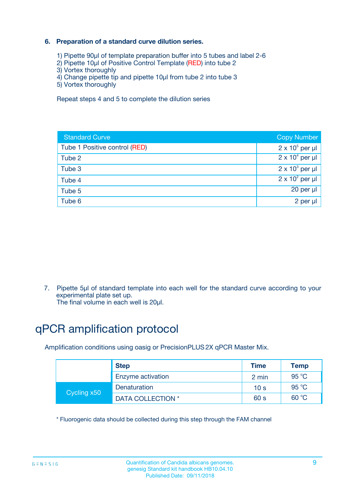### **6. Preparation of a standard curve dilution series.**

- 1) Pipette 90µl of template preparation buffer into 5 tubes and label 2-6
- 2) Pipette 10µl of Positive Control Template (RED) into tube 2
- 3) Vortex thoroughly
- 4) Change pipette tip and pipette 10µl from tube 2 into tube 3
- 5) Vortex thoroughly

Repeat steps 4 and 5 to complete the dilution series

| <b>Standard Curve</b>         | <b>Copy Number</b>     |
|-------------------------------|------------------------|
| Tube 1 Positive control (RED) | $2 \times 10^5$ per µl |
| Tube 2                        | $2 \times 10^4$ per µl |
| Tube 3                        | $2 \times 10^3$ per µl |
| Tube 4                        | $2 \times 10^2$ per µl |
| Tube 5                        | 20 per µl              |
| Tube 6                        | 2 per ul               |

7. Pipette 5µl of standard template into each well for the standard curve according to your experimental plate set up.

The final volume in each well is 20µl.

# qPCR amplification protocol

Amplification conditions using oasig or PrecisionPLUS2X qPCR Master Mix.

|             | <b>Step</b>       | <b>Time</b>     | Temp    |
|-------------|-------------------|-----------------|---------|
|             | Enzyme activation | 2 min           | 95 °C   |
| Cycling x50 | Denaturation      | 10 <sub>s</sub> | 95 $°C$ |
|             | DATA COLLECTION * | 60 s            | 60 °C   |

\* Fluorogenic data should be collected during this step through the FAM channel